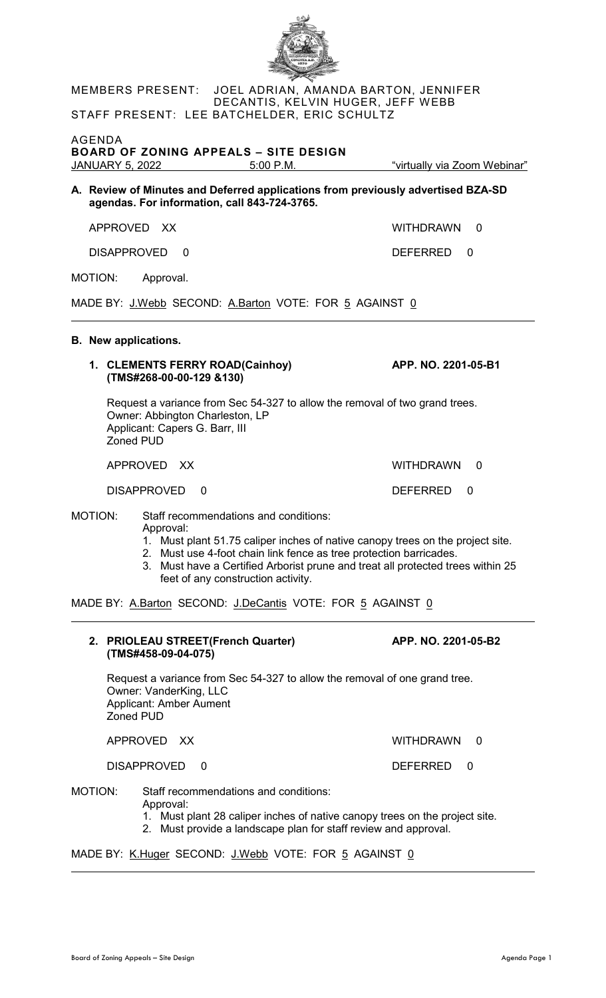| MEMBERS PRESENT: JOEL ADRIAN, AMANDA BARTON, JENNIFER                                                                                                                                                                                                                                                                                          |                                |  |  |  |
|------------------------------------------------------------------------------------------------------------------------------------------------------------------------------------------------------------------------------------------------------------------------------------------------------------------------------------------------|--------------------------------|--|--|--|
| DECANTIS, KELVIN HUGER, JEFF WEBB<br>STAFF PRESENT: LEE BATCHELDER, ERIC SCHULTZ                                                                                                                                                                                                                                                               |                                |  |  |  |
| AGENDA<br><b>BOARD OF ZONING APPEALS - SITE DESIGN</b><br>JANUARY 5, 2022 5:00 P.M.                                                                                                                                                                                                                                                            | "virtually via Zoom Webinar"   |  |  |  |
| A. Review of Minutes and Deferred applications from previously advertised BZA-SD<br>agendas. For information, call 843-724-3765.                                                                                                                                                                                                               |                                |  |  |  |
| APPROVED XX                                                                                                                                                                                                                                                                                                                                    | <b>WITHDRAWN</b><br>$\Omega$   |  |  |  |
| <b>DISAPPROVED</b><br>0                                                                                                                                                                                                                                                                                                                        | <b>DEFERRED</b><br>0           |  |  |  |
| MOTION:<br>Approval.                                                                                                                                                                                                                                                                                                                           |                                |  |  |  |
| MADE BY: J.Webb SECOND: A.Barton VOTE: FOR 5 AGAINST 0                                                                                                                                                                                                                                                                                         |                                |  |  |  |
|                                                                                                                                                                                                                                                                                                                                                |                                |  |  |  |
| <b>B.</b> New applications.<br>1. CLEMENTS FERRY ROAD(Cainhoy)<br>(TMS#268-00-00-129 &130)                                                                                                                                                                                                                                                     | APP. NO. 2201-05-B1            |  |  |  |
| Request a variance from Sec 54-327 to allow the removal of two grand trees.<br>Owner: Abbington Charleston, LP<br>Applicant: Capers G. Barr, III<br><b>Zoned PUD</b>                                                                                                                                                                           |                                |  |  |  |
| APPROVED XX                                                                                                                                                                                                                                                                                                                                    | <b>WITHDRAWN</b><br>0          |  |  |  |
| DISAPPROVED<br>0                                                                                                                                                                                                                                                                                                                               | <b>DEFERRED</b><br>0           |  |  |  |
| MOTION:<br>Staff recommendations and conditions:<br>Approval:<br>1. Must plant 51.75 caliper inches of native canopy trees on the project site.<br>2. Must use 4-foot chain link fence as tree protection barricades.<br>3. Must have a Certified Arborist prune and treat all protected trees within 25<br>feet of any construction activity. |                                |  |  |  |
| MADE BY: A.Barton SECOND: J.DeCantis VOTE: FOR 5 AGAINST 0                                                                                                                                                                                                                                                                                     |                                |  |  |  |
| 2. PRIOLEAU STREET(French Quarter)<br>(TMS#458-09-04-075)                                                                                                                                                                                                                                                                                      | APP. NO. 2201-05-B2            |  |  |  |
| Request a variance from Sec 54-327 to allow the removal of one grand tree.<br>Owner: VanderKing, LLC<br><b>Applicant: Amber Aument</b><br><b>Zoned PUD</b>                                                                                                                                                                                     |                                |  |  |  |
| APPROVED XX                                                                                                                                                                                                                                                                                                                                    | <b>WITHDRAWN</b><br>$\Omega$   |  |  |  |
| <b>DISAPPROVED</b><br>$\mathbf 0$                                                                                                                                                                                                                                                                                                              | <b>DEFERRED</b><br>$\mathbf 0$ |  |  |  |
| MOTION:<br>Staff recommendations and conditions:<br>Approval:<br>1. Must plant 28 caliper inches of native canopy trees on the project site.<br>2. Must provide a landscape plan for staff review and approval.                                                                                                                                |                                |  |  |  |
| MADE BY: <u>K.Huger</u> SECOND: <u>J.Webb</u> VOTE: FOR <u>5</u> AGAINST <u>0</u>                                                                                                                                                                                                                                                              |                                |  |  |  |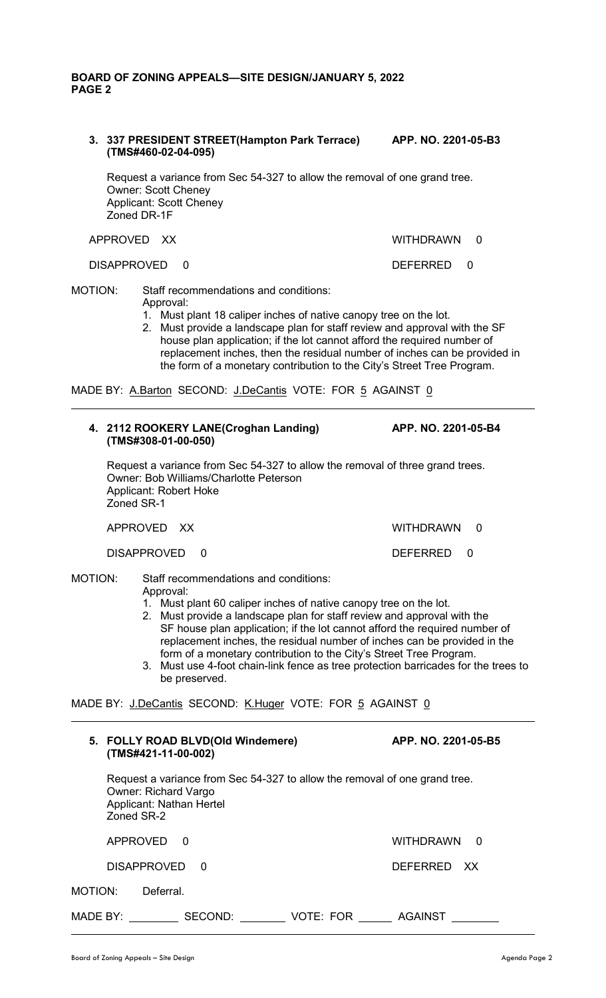## **BOARD OF ZONING APPEALS—SITE DESIGN/JANUARY 5, 2022 PAGE 2**

**3. 337 PRESIDENT STREET(Hampton Park Terrace) APP. NO. 2201-05-B3 (TMS#460-02-04-095)**

Request a variance from Sec 54-327 to allow the removal of one grand tree. Owner: Scott Cheney Applicant: Scott Cheney Zoned DR-1F

#### APPROVED XX WITHDRAWN 0

#### DISAPPROVED 0 DEFERRED 0

- MOTION: Staff recommendations and conditions: Approval:
	- 1. Must plant 18 caliper inches of native canopy tree on the lot.
	- 2. Must provide a landscape plan for staff review and approval with the SF house plan application; if the lot cannot afford the required number of replacement inches, then the residual number of inches can be provided in the form of a monetary contribution to the City's Street Tree Program.

MADE BY: A.Barton SECOND: J.DeCantis VOTE: FOR 5 AGAINST 0

## **4. 2112 ROOKERY LANE(Croghan Landing) APP. NO. 2201-05-B4 (TMS#308-01-00-050)**

Request a variance from Sec 54-327 to allow the removal of three grand trees. Owner: Bob Williams/Charlotte Peterson Applicant: Robert Hoke Zoned SR-1

| APPROVED XX   | WITHDRAWN 0 |  |
|---------------|-------------|--|
| DISAPPROVED 0 | DEFERRED 0  |  |

# MOTION: Staff recommendations and conditions:

Approval:

- 1. Must plant 60 caliper inches of native canopy tree on the lot.
- 2. Must provide a landscape plan for staff review and approval with the SF house plan application; if the lot cannot afford the required number of replacement inches, the residual number of inches can be provided in the form of a monetary contribution to the City's Street Tree Program.
- 3. Must use 4-foot chain-link fence as tree protection barricades for the trees to be preserved.

MADE BY: J.DeCantis SECOND: K.Huger VOTE: FOR 5 AGAINST 0

|                | 5. FOLLY ROAD BLVD(Old Windemere)<br>(TMS#421-11-00-002)              |                                                                            |           | APP. NO. 2201-05-B5 |          |  |
|----------------|-----------------------------------------------------------------------|----------------------------------------------------------------------------|-----------|---------------------|----------|--|
|                | <b>Owner: Richard Vargo</b><br>Applicant: Nathan Hertel<br>Zoned SR-2 | Request a variance from Sec 54-327 to allow the removal of one grand tree. |           |                     |          |  |
|                | APPROVED                                                              | - 0                                                                        |           | <b>WITHDRAWN</b>    | $\Omega$ |  |
|                | <b>DISAPPROVED</b>                                                    | $\Omega$                                                                   |           | <b>DEFERRED</b>     | XX.      |  |
| <b>MOTION:</b> | Deferral.                                                             |                                                                            |           |                     |          |  |
| MADE BY:       |                                                                       | SECOND:                                                                    | VOTE: FOR | <b>AGAINST</b>      |          |  |